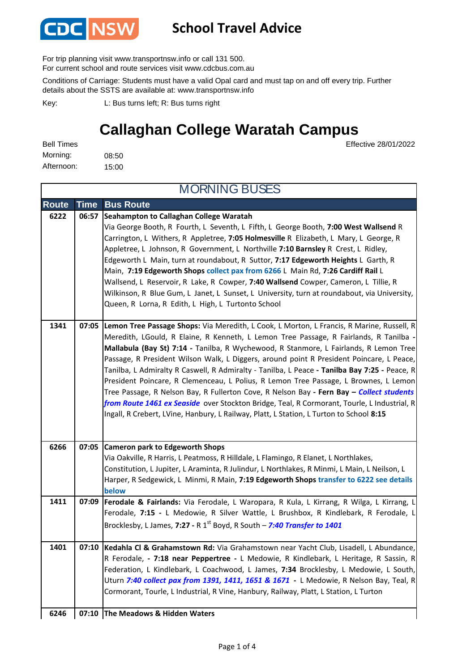

## **School Travel Advice**

For trip planning visit www.transportnsw.info or call 131 500.

For current school and route services visit www.cdcbus.com.au

Conditions of Carriage: Students must have a valid Opal card and must tap on and off every trip. Further details about the SSTS are available at: www.transportnsw.info

L: Bus turns left; R: Bus turns right Key:

## **Callaghan College Waratah Campus**

08:50 15:00 Morning: Bell Times Afternoon:

Effective 28/01/2022

| <b>Route</b> | Time  | <b>Bus Route</b>                                                                                |
|--------------|-------|-------------------------------------------------------------------------------------------------|
| 6222         | 06:57 | Seahampton to Callaghan College Waratah                                                         |
|              |       | Via George Booth, R Fourth, L Seventh, L Fifth, L George Booth, 7:00 West Wallsend R            |
|              |       | Carrington, L Withers, R Appletree, 7:05 Holmesville R Elizabeth, L Mary, L George, R           |
|              |       | Appletree, L Johnson, R Government, L Northville 7:10 Barnsley R Crest, L Ridley,               |
|              |       | Edgeworth L Main, turn at roundabout, R Suttor, 7:17 Edgeworth Heights L Garth, R               |
|              |       | Main, 7:19 Edgeworth Shops collect pax from 6266 L Main Rd, 7:26 Cardiff Rail L                 |
|              |       | Wallsend, L Reservoir, R Lake, R Cowper, 7:40 Wallsend Cowper, Cameron, L Tillie, R             |
|              |       | Wilkinson, R Blue Gum, L Janet, L Sunset, L University, turn at roundabout, via University,     |
|              |       | Queen, R Lorna, R Edith, L High, L Turtonto School                                              |
| 1341         |       | 07:05 Lemon Tree Passage Shops: Via Meredith, L Cook, L Morton, L Francis, R Marine, Russell, R |
|              |       | Meredith, LGould, R Elaine, R Kenneth, L Lemon Tree Passage, R Fairlands, R Tanilba -           |
|              |       | Mallabula (Bay St) 7:14 - Tanilba, R Wychewood, R Stanmore, L Fairlands, R Lemon Tree           |
|              |       | Passage, R President Wilson Walk, L Diggers, around point R President Poincare, L Peace,        |
|              |       | Tanilba, L Admiralty R Caswell, R Admiralty - Tanilba, L Peace - Tanilba Bay 7:25 - Peace, R    |
|              |       | President Poincare, R Clemenceau, L Polius, R Lemon Tree Passage, L Brownes, L Lemon            |
|              |       | Tree Passage, R Nelson Bay, R Fullerton Cove, R Nelson Bay - Fern Bay - Collect students        |
|              |       | from Route 1461 ex Seaside over Stockton Bridge, Teal, R Cormorant, Tourle, L Industrial, R     |
|              |       | Ingall, R Crebert, LVine, Hanbury, L Railway, Platt, L Station, L Turton to School 8:15         |
|              |       |                                                                                                 |
| 6266         | 07:05 | <b>Cameron park to Edgeworth Shops</b>                                                          |
|              |       | Via Oakville, R Harris, L Peatmoss, R Hilldale, L Flamingo, R Elanet, L Northlakes,             |
|              |       | Constitution, L Jupiter, L Araminta, R Julindur, L Northlakes, R Minmi, L Main, L Neilson, L    |
|              |       | Harper, R Sedgewick, L Minmi, R Main, 7:19 Edgeworth Shops transfer to 6222 see details         |
|              |       | below                                                                                           |
| 1411         | 07:09 | Ferodale & Fairlands: Via Ferodale, L Waropara, R Kula, L Kirrang, R Wilga, L Kirrang, L        |
|              |       | Ferodale, 7:15 - L Medowie, R Silver Wattle, L Brushbox, R Kindlebark, R Ferodale, L            |
|              |       | Brocklesby, L James, 7:27 - R 1 <sup>st</sup> Boyd, R South - 7:40 Transfer to 1401             |
| 1401         | 07:10 | Kedahla Cl & Grahamstown Rd: Via Grahamstown near Yacht Club, Lisadell, L Abundance,            |
|              |       | R Ferodale, - 7:18 near Peppertree - L Medowie, R Kindlebark, L Heritage, R Sassin, R           |
|              |       | Federation, L Kindlebark, L Coachwood, L James, 7:34 Brocklesby, L Medowie, L South,            |
|              |       | Uturn 7:40 collect pax from 1391, 1411, 1651 & 1671 - L Medowie, R Nelson Bay, Teal, R          |
|              |       | Cormorant, Tourle, L Industrial, R Vine, Hanbury, Railway, Platt, L Station, L Turton           |
|              |       |                                                                                                 |
| 6246         |       | 07:10 The Meadows & Hidden Waters                                                               |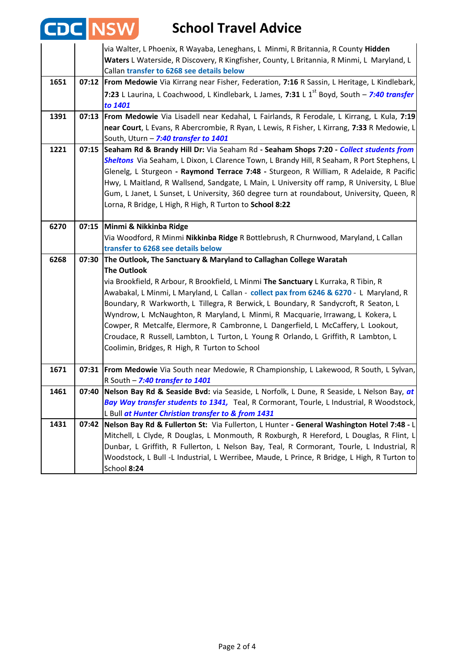| <b>CDC NSW</b> |       | <b>School Travel Advice</b>                                                                                                                                                                                                                                                                                                                                                                                                                                                                                                           |
|----------------|-------|---------------------------------------------------------------------------------------------------------------------------------------------------------------------------------------------------------------------------------------------------------------------------------------------------------------------------------------------------------------------------------------------------------------------------------------------------------------------------------------------------------------------------------------|
|                |       | via Walter, L Phoenix, R Wayaba, Leneghans, L Minmi, R Britannia, R County Hidden<br>Waters L Waterside, R Discovery, R Kingfisher, County, L Britannia, R Minmi, L Maryland, L<br>Callan transfer to 6268 see details below                                                                                                                                                                                                                                                                                                          |
| 1651           |       | 07:12   From Medowie Via Kirrang near Fisher, Federation, 7:16 R Sassin, L Heritage, L Kindlebark,                                                                                                                                                                                                                                                                                                                                                                                                                                    |
|                |       | 7:23 L Laurina, L Coachwood, L Kindlebark, L James, 7:31 L 1 <sup>st</sup> Boyd, South - 7:40 transfer<br>to 1401                                                                                                                                                                                                                                                                                                                                                                                                                     |
| 1391           |       | 07:13 From Medowie Via Lisadell near Kedahal, L Fairlands, R Ferodale, L Kirrang, L Kula, 7:19                                                                                                                                                                                                                                                                                                                                                                                                                                        |
|                |       | near Court, L Evans, R Abercrombie, R Ryan, L Lewis, R Fisher, L Kirrang, 7:33 R Medowie, L                                                                                                                                                                                                                                                                                                                                                                                                                                           |
|                |       | South, Uturn - 7:40 transfer to 1401                                                                                                                                                                                                                                                                                                                                                                                                                                                                                                  |
| 1221           | 07:15 | Seaham Rd & Brandy Hill Dr: Via Seaham Rd - Seaham Shops 7:20 - Collect students from<br>Sheltons Via Seaham, L Dixon, L Clarence Town, L Brandy Hill, R Seaham, R Port Stephens, L<br>Glenelg, L Sturgeon - Raymond Terrace 7:48 - Sturgeon, R William, R Adelaide, R Pacific<br>Hwy, L Maitland, R Wallsend, Sandgate, L Main, L University off ramp, R University, L Blue<br>Gum, L Janet, L Sunset, L University, 360 degree turn at roundabout, University, Queen, R<br>Lorna, R Bridge, L High, R High, R Turton to School 8:22 |
| 6270           | 07:15 | Minmi & Nikkinba Ridge                                                                                                                                                                                                                                                                                                                                                                                                                                                                                                                |
|                |       | Via Woodford, R Minmi Nikkinba Ridge R Bottlebrush, R Churnwood, Maryland, L Callan                                                                                                                                                                                                                                                                                                                                                                                                                                                   |
|                |       | transfer to 6268 see details below                                                                                                                                                                                                                                                                                                                                                                                                                                                                                                    |
| 6268           | 07:30 | The Outlook, The Sanctuary & Maryland to Callaghan College Waratah                                                                                                                                                                                                                                                                                                                                                                                                                                                                    |
|                |       | <b>The Outlook</b>                                                                                                                                                                                                                                                                                                                                                                                                                                                                                                                    |
|                |       | via Brookfield, R Arbour, R Brookfield, L Minmi The Sanctuary L Kurraka, R Tibin, R                                                                                                                                                                                                                                                                                                                                                                                                                                                   |
|                |       | Awabakal, L Minmi, L Maryland, L Callan - collect pax from 6246 & 6270 - L Maryland, R                                                                                                                                                                                                                                                                                                                                                                                                                                                |
|                |       | Boundary, R Warkworth, L Tillegra, R Berwick, L Boundary, R Sandycroft, R Seaton, L                                                                                                                                                                                                                                                                                                                                                                                                                                                   |
|                |       | Wyndrow, L McNaughton, R Maryland, L Minmi, R Macquarie, Irrawang, L Kokera, L<br>Cowper, R Metcalfe, Elermore, R Cambronne, L Dangerfield, L McCaffery, L Lookout,                                                                                                                                                                                                                                                                                                                                                                   |
|                |       | Croudace, R Russell, Lambton, L Turton, L Young R Orlando, L Griffith, R Lambton, L                                                                                                                                                                                                                                                                                                                                                                                                                                                   |
|                |       | Coolimin, Bridges, R High, R Turton to School                                                                                                                                                                                                                                                                                                                                                                                                                                                                                         |
|                |       |                                                                                                                                                                                                                                                                                                                                                                                                                                                                                                                                       |
| 1671           |       | 07:31 From Medowie Via South near Medowie, R Championship, L Lakewood, R South, L Sylvan,                                                                                                                                                                                                                                                                                                                                                                                                                                             |
|                |       | R South - 7:40 transfer to 1401                                                                                                                                                                                                                                                                                                                                                                                                                                                                                                       |
| 1461           | 07:40 | Nelson Bay Rd & Seaside Bvd: via Seaside, L Norfolk, L Dune, R Seaside, L Nelson Bay, at                                                                                                                                                                                                                                                                                                                                                                                                                                              |
|                |       | Bay Way transfer students to 1341, Teal, R Cormorant, Tourle, L Industrial, R Woodstock,                                                                                                                                                                                                                                                                                                                                                                                                                                              |
|                |       | L Bull at Hunter Christian transfer to & from 1431                                                                                                                                                                                                                                                                                                                                                                                                                                                                                    |
| 1431           | 07:42 | Nelson Bay Rd & Fullerton St: Via Fullerton, L Hunter - General Washington Hotel 7:48 - L                                                                                                                                                                                                                                                                                                                                                                                                                                             |
|                |       | Mitchell, L Clyde, R Douglas, L Monmouth, R Roxburgh, R Hereford, L Douglas, R Flint, L                                                                                                                                                                                                                                                                                                                                                                                                                                               |
|                |       | Dunbar, L Griffith, R Fullerton, L Nelson Bay, Teal, R Cormorant, Tourle, L Industrial, R                                                                                                                                                                                                                                                                                                                                                                                                                                             |
|                |       | Woodstock, L Bull -L Industrial, L Werribee, Maude, L Prince, R Bridge, L High, R Turton to<br>School 8:24                                                                                                                                                                                                                                                                                                                                                                                                                            |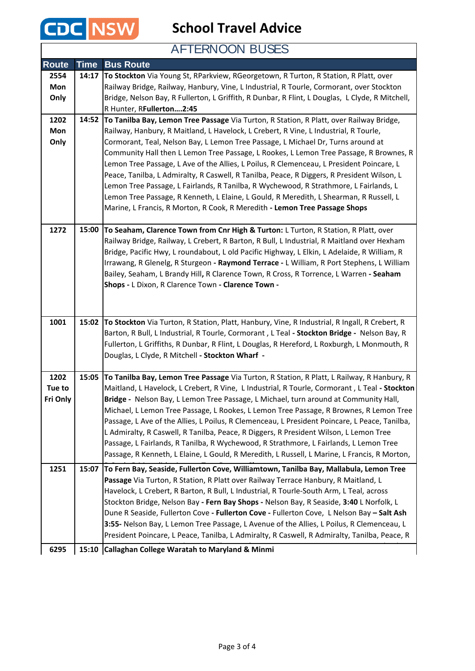

## AFTERNOON BUSES

| <b>Route</b> | <b>Time</b> | <b>Bus Route</b>                                                                                                                                                               |
|--------------|-------------|--------------------------------------------------------------------------------------------------------------------------------------------------------------------------------|
| 2554         | 14:17       | To Stockton Via Young St, RParkview, RGeorgetown, R Turton, R Station, R Platt, over                                                                                           |
| Mon          |             | Railway Bridge, Railway, Hanbury, Vine, L Industrial, R Tourle, Cormorant, over Stockton                                                                                       |
| Only         |             | Bridge, Nelson Bay, R Fullerton, L Griffith, R Dunbar, R Flint, L Douglas, L Clyde, R Mitchell,                                                                                |
|              |             | R Hunter, RFullerton2:45                                                                                                                                                       |
| 1202         | 14:52       | To Tanilba Bay, Lemon Tree Passage Via Turton, R Station, R Platt, over Railway Bridge,                                                                                        |
| Mon          |             | Railway, Hanbury, R Maitland, L Havelock, L Crebert, R Vine, L Industrial, R Tourle,                                                                                           |
| Only         |             | Cormorant, Teal, Nelson Bay, L Lemon Tree Passage, L Michael Dr, Turns around at                                                                                               |
|              |             | Community Hall then L Lemon Tree Passage, L Rookes, L Lemon Tree Passage, R Brownes, R                                                                                         |
|              |             | Lemon Tree Passage, L Ave of the Allies, L Poilus, R Clemenceau, L President Poincare, L                                                                                       |
|              |             | Peace, Tanilba, L Admiralty, R Caswell, R Tanilba, Peace, R Diggers, R President Wilson, L                                                                                     |
|              |             | Lemon Tree Passage, L Fairlands, R Tanilba, R Wychewood, R Strathmore, L Fairlands, L                                                                                          |
|              |             | Lemon Tree Passage, R Kenneth, L Elaine, L Gould, R Meredith, L Shearman, R Russell, L<br>Marine, L Francis, R Morton, R Cook, R Meredith - Lemon Tree Passage Shops           |
|              |             |                                                                                                                                                                                |
| 1272         | 15:00       | To Seaham, Clarence Town from Cnr High & Turton: L Turton, R Station, R Platt, over                                                                                            |
|              |             | Railway Bridge, Railway, L Crebert, R Barton, R Bull, L Industrial, R Maitland over Hexham                                                                                     |
|              |             | Bridge, Pacific Hwy, L roundabout, L old Pacific Highway, L Elkin, L Adelaide, R William, R                                                                                    |
|              |             | Irrawang, R Glenelg, R Sturgeon - Raymond Terrace - L William, R Port Stephens, L William                                                                                      |
|              |             | Bailey, Seaham, L Brandy Hill, R Clarence Town, R Cross, R Torrence, L Warren - Seaham                                                                                         |
|              |             | Shops - L Dixon, R Clarence Town - Clarence Town -                                                                                                                             |
|              |             |                                                                                                                                                                                |
|              |             |                                                                                                                                                                                |
| 1001         | 15:02       | To Stockton Via Turton, R Station, Platt, Hanbury, Vine, R Industrial, R Ingall, R Crebert, R                                                                                  |
|              |             | Barton, R Bull, L Industrial, R Tourle, Cormorant, L Teal - Stockton Bridge - Nelson Bay, R                                                                                    |
|              |             | Fullerton, L Griffiths, R Dunbar, R Flint, L Douglas, R Hereford, L Roxburgh, L Monmouth, R                                                                                    |
|              |             | Douglas, L Clyde, R Mitchell - Stockton Wharf -                                                                                                                                |
|              |             |                                                                                                                                                                                |
| 1202         | 15:05       | To Tanilba Bay, Lemon Tree Passage Via Turton, R Station, R Platt, L Railway, R Hanbury, R                                                                                     |
| Tue to       |             | Maitland, L Havelock, L Crebert, R Vine, L Industrial, R Tourle, Cormorant, L Teal - Stockton                                                                                  |
| Fri Only     |             | Bridge - Nelson Bay, L Lemon Tree Passage, L Michael, turn around at Community Hall,<br>Michael, L Lemon Tree Passage, L Rookes, L Lemon Tree Passage, R Brownes, R Lemon Tree |
|              |             | Passage, L Ave of the Allies, L Poilus, R Clemenceau, L President Poincare, L Peace, Tanilba,                                                                                  |
|              |             | L Admiralty, R Caswell, R Tanilba, Peace, R Diggers, R President Wilson, L Lemon Tree                                                                                          |
|              |             | Passage, L Fairlands, R Tanilba, R Wychewood, R Strathmore, L Fairlands, L Lemon Tree                                                                                          |
|              |             | Passage, R Kenneth, L Elaine, L Gould, R Meredith, L Russell, L Marine, L Francis, R Morton,                                                                                   |
| 1251         | 15:07       | To Fern Bay, Seaside, Fullerton Cove, Williamtown, Tanilba Bay, Mallabula, Lemon Tree                                                                                          |
|              |             | Passage Via Turton, R Station, R Platt over Railway Terrace Hanbury, R Maitland, L                                                                                             |
|              |             | Havelock, L Crebert, R Barton, R Bull, L Industrial, R Tourle-South Arm, L Teal, across                                                                                        |
|              |             | Stockton Bridge, Nelson Bay - Fern Bay Shops - Nelson Bay, R Seaside, 3:40 L Norfolk, L                                                                                        |
|              |             | Dune R Seaside, Fullerton Cove - Fullerton Cove - Fullerton Cove, L Nelson Bay - Salt Ash                                                                                      |
|              |             | 3:55- Nelson Bay, L Lemon Tree Passage, L Avenue of the Allies, L Poilus, R Clemenceau, L                                                                                      |
|              |             | President Poincare, L Peace, Tanilba, L Admiralty, R Caswell, R Admiralty, Tanilba, Peace, R                                                                                   |
| 6295         | 15:10       | <b>Callaghan College Waratah to Maryland &amp; Minmi</b>                                                                                                                       |